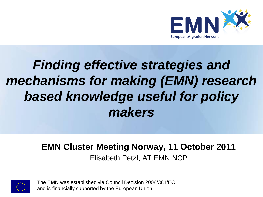

#### *Finding effective strategies and mechanisms for making (EMN) research based knowledge useful for policy makers*

#### **EMN Cluster Meeting Norway, 11 October 2011** Elisabeth Petzl, AT EMN NCP



The EMN was established via Council Decision 2008/381/EC and is financially supported by the European Union.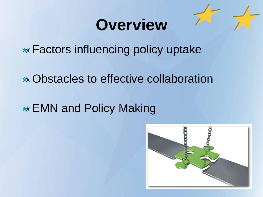### **Overview**

**\*\*** Factors influencing policy uptake

Obstacles to effective collaboration

**EMN and Policy Making** 

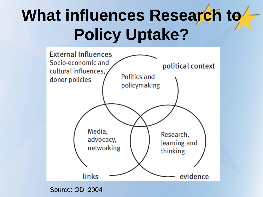## What influences Research to **Policy Uptake?**



Source: ODI 2004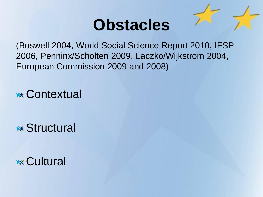### **Obstacles**

(Boswell 2004, World Social Science Report 2010, IFSP 2006, Penninx/Scholten 2009, Laczko/Wijkstrom 2004, European Commission 2009 and 2008)

**xx Contextual** 

**xx Structural** 

**xx Cultural**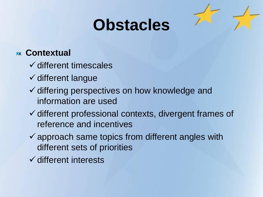### **Obstacles**

#### **Contextual**

- $\checkmark$  different timescales
- $\checkmark$  different langue
- $\checkmark$  differing perspectives on how knowledge and information are used
- $\checkmark$  different professional contexts, divergent frames of reference and incentives
- $\checkmark$  approach same topics from different angles with different sets of priorities
- $\checkmark$  different interests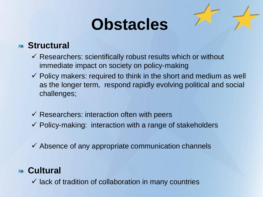### **Obstacles**

#### **Structural**

- $\checkmark$  Researchers: scientifically robust results which or without immediate impact on society on policy-making
- $\checkmark$  Policy makers: required to think in the short and medium as well as the longer term, respond rapidly evolving political and social challenges;
- $\checkmark$  Researchers: interaction often with peers
- $\checkmark$  Policy-making: interaction with a range of stakeholders
- $\checkmark$  Absence of any appropriate communication channels

#### **Cultural**

 $\checkmark$  lack of tradition of collaboration in many countries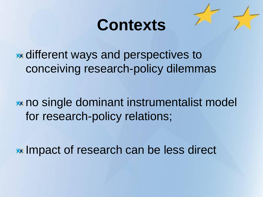

different ways and perspectives to conceiving research-policy dilemmas

no single dominant instrumentalist model for research-policy relations;

**Impact of research can be less direct**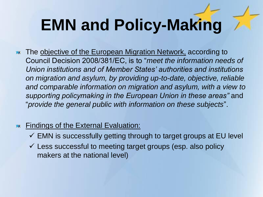# **EMN and Policy-Making**

- The objective of the European Migration Network, according to **XX** Council Decision 2008/381/EC, is to "*meet the information needs of Union institutions and of Member States' authorities and institutions on migration and asylum, by providing up-to-date, objective, reliable and comparable information on migration and asylum, with a view to supporting policymaking in the European Union in these areas"* and "*provide the general public with information on these subjects*".
- **Findings of the External Evaluation:** 
	- $\checkmark$  EMN is successfully getting through to target groups at EU level
	- $\checkmark$  Less successful to meeting target groups (esp. also policy makers at the national level)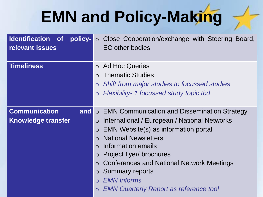# **EMN and Policy-Making**

| <b>Identification</b> of<br>policy-<br>relevant issues     | Close Cooperation/exchange with Steering Board,<br>$\circ$<br><b>EC</b> other bodies                                                                                                                                                                                                                                                                                                                                                                                                          |
|------------------------------------------------------------|-----------------------------------------------------------------------------------------------------------------------------------------------------------------------------------------------------------------------------------------------------------------------------------------------------------------------------------------------------------------------------------------------------------------------------------------------------------------------------------------------|
| <b>Timeliness</b>                                          | <b>Ad Hoc Queries</b><br>$\Omega$<br><b>Thematic Studies</b><br>$\bigcirc$<br>Shift from major studies to focussed studies<br>$\circ$<br>Flexibility- 1 focussed study topic tbd<br>$\circ$                                                                                                                                                                                                                                                                                                   |
| <b>Communication</b><br>and  <br><b>Knowledge transfer</b> | <b>EMN Communication and Dissemination Strategy</b><br>$\circ$<br>International / European / National Networks<br>$\circ$<br>EMN Website(s) as information portal<br>$\circ$<br><b>National Newsletters</b><br>$\Omega$<br>Information emails<br>$\Omega$<br>Project flyer/ brochures<br>$\circ$<br>Conferences and National Network Meetings<br>$\circ$<br><b>Summary reports</b><br>$\circ$<br><b>EMN Informs</b><br>$\bigcirc$<br><b>EMN Quarterly Report as reference tool</b><br>$\circ$ |